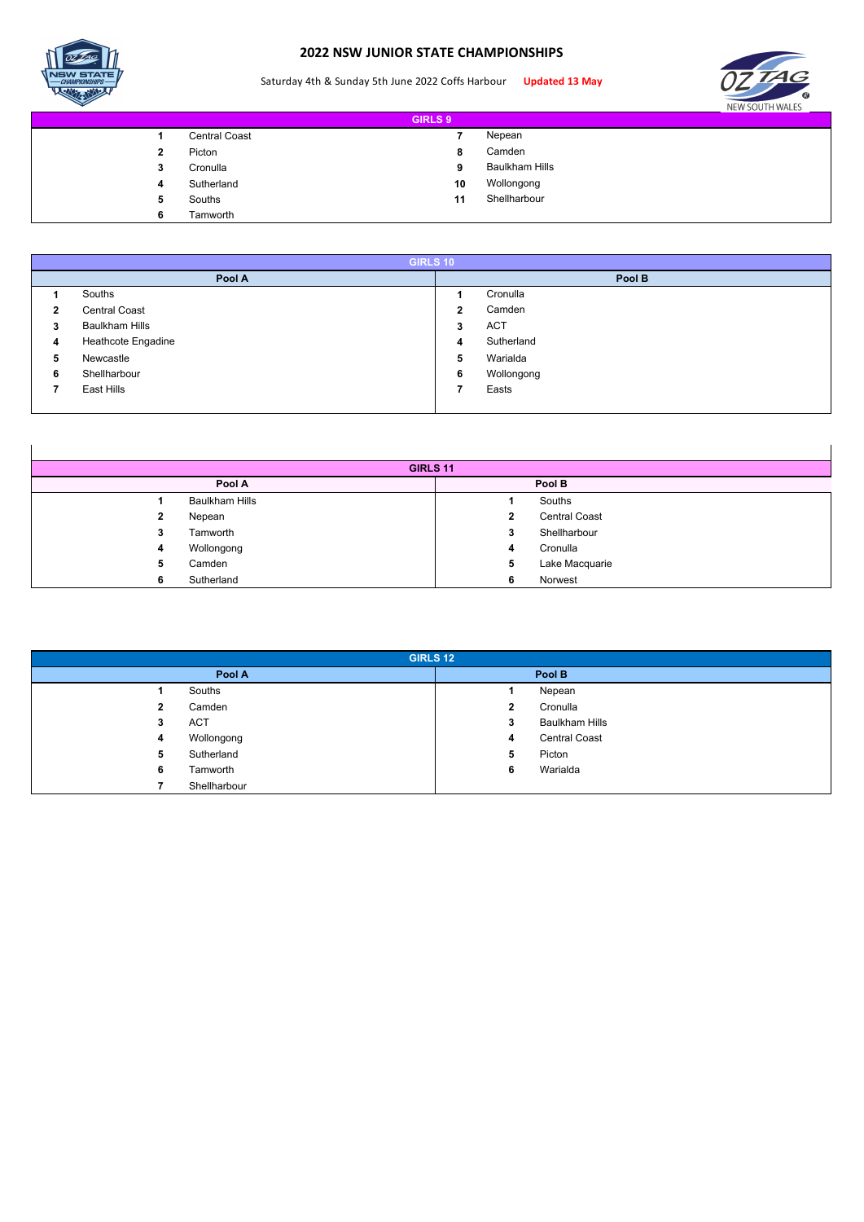

 $\mathbf l$ 

## **2022 NSW JUNIOR STATE CHAMPIONSHIPS**

## Saturday 4th & Sunday 5th June 2022 Coffs Harbour **Updated 13 May**



 $\mathbf l$ 

| <b>GIRLS 9</b> |   |                      |    |                       |  |  |
|----------------|---|----------------------|----|-----------------------|--|--|
|                |   | <b>Central Coast</b> |    | Nepean                |  |  |
|                | 2 | Picton               | 8  | Camden                |  |  |
|                | 3 | Cronulla             | 9  | <b>Baulkham Hills</b> |  |  |
|                | 4 | Sutherland           | 10 | Wollongong            |  |  |
|                | 5 | Souths               | 11 | Shellharbour          |  |  |
|                | 6 | Tamworth             |    |                       |  |  |

|   | <b>GIRLS 10</b>       |        |            |  |  |  |  |  |
|---|-----------------------|--------|------------|--|--|--|--|--|
|   | Pool A                | Pool B |            |  |  |  |  |  |
|   | Souths                |        | Cronulla   |  |  |  |  |  |
| 2 | <b>Central Coast</b>  | 2      | Camden     |  |  |  |  |  |
| 3 | <b>Baulkham Hills</b> | 3      | <b>ACT</b> |  |  |  |  |  |
| 4 | Heathcote Engadine    | 4      | Sutherland |  |  |  |  |  |
| 5 | Newcastle             | 5      | Warialda   |  |  |  |  |  |
| 6 | Shellharbour          | 6      | Wollongong |  |  |  |  |  |
|   | East Hills            |        | Easts      |  |  |  |  |  |
|   |                       |        |            |  |  |  |  |  |

| GIRLS 11 |                       |   |                      |  |  |  |
|----------|-----------------------|---|----------------------|--|--|--|
|          | Pool A                |   | Pool B               |  |  |  |
|          | <b>Baulkham Hills</b> |   | Souths               |  |  |  |
| 2        | Nepean                | 2 | <b>Central Coast</b> |  |  |  |
| 3        | Tamworth              | 3 | Shellharbour         |  |  |  |
| 4        | Wollongong            | 4 | Cronulla             |  |  |  |
| 5        | Camden                | 5 | Lake Macquarie       |  |  |  |
| 6        | Sutherland            | 6 | Norwest              |  |  |  |

| <b>GIRLS 12</b> |              |              |                       |  |  |  |
|-----------------|--------------|--------------|-----------------------|--|--|--|
|                 | Pool A       |              | Pool B                |  |  |  |
|                 | Souths       |              | Nepean                |  |  |  |
| 2               | Camden       | $\mathbf{2}$ | Cronulla              |  |  |  |
| 3               | <b>ACT</b>   | 3            | <b>Baulkham Hills</b> |  |  |  |
| 4               | Wollongong   | 4            | <b>Central Coast</b>  |  |  |  |
| 5.              | Sutherland   | 5            | Picton                |  |  |  |
| 6               | Tamworth     | 6            | Warialda              |  |  |  |
|                 | Shellharbour |              |                       |  |  |  |